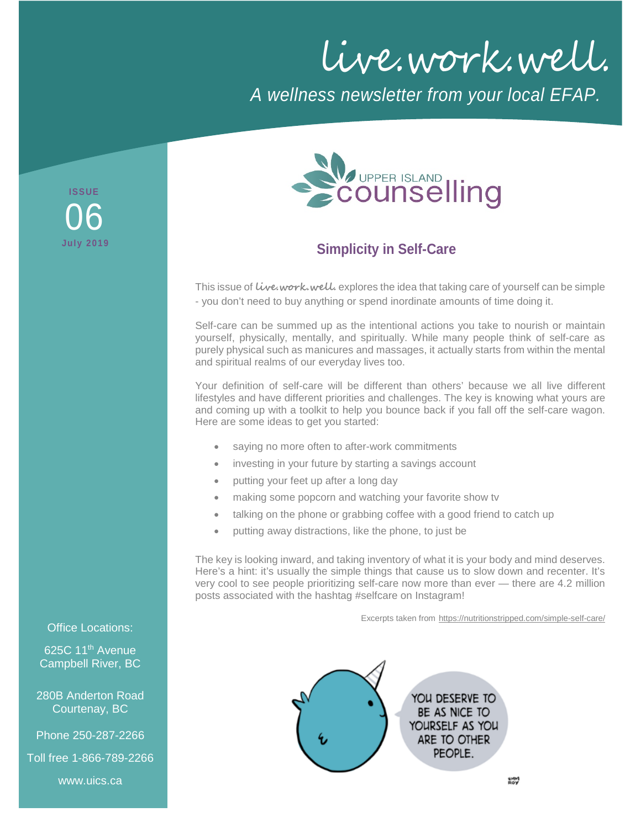live.work.well.

*A wellness newsletter from your local EFAP.*

**ISSUE July 2019** 06



## **Simplicity in Self-Care**

This issue of **live.work.well.** explores the idea that taking care of yourself can be simple - you don't need to buy anything or spend inordinate amounts of time doing it.

Self-care can be summed up as the intentional actions you take to nourish or maintain yourself, physically, mentally, and spiritually. While many people think of self-care as purely physical such as manicures and massages, it actually starts from within the mental and spiritual realms of our everyday lives too.

Your definition of self-care will be different than others' because we all live different lifestyles and have different priorities and challenges. The key is knowing what yours are and coming up with a toolkit to help you bounce back if you fall off the self-care wagon. Here are some ideas to get you started:

- saying no more often to after-work commitments
- investing in your future by starting a savings account
- putting your feet up after a long day
- making some popcorn and watching your favorite show tv
- talking on the phone or grabbing coffee with a good friend to catch up
- putting away distractions, like the phone, to just be

The key is looking inward, and taking inventory of what it is your body and mind deserves. Here's a hint: it's usually the simple things that cause us to slow down and recenter. It's very cool to see people prioritizing self-care now more than ever — there are 4.2 million posts associated with the hashtag #selfcare on Instagram!

Excerpts taken from <https://nutritionstripped.com/simple-self-care/>



### Office Locations:

625C 11<sup>th</sup> Avenue Campbell River, BC

280B Anderton Road Courtenay, BC

Phone 250-287-2266

Toll free 1-866-789-2266

www.uics.ca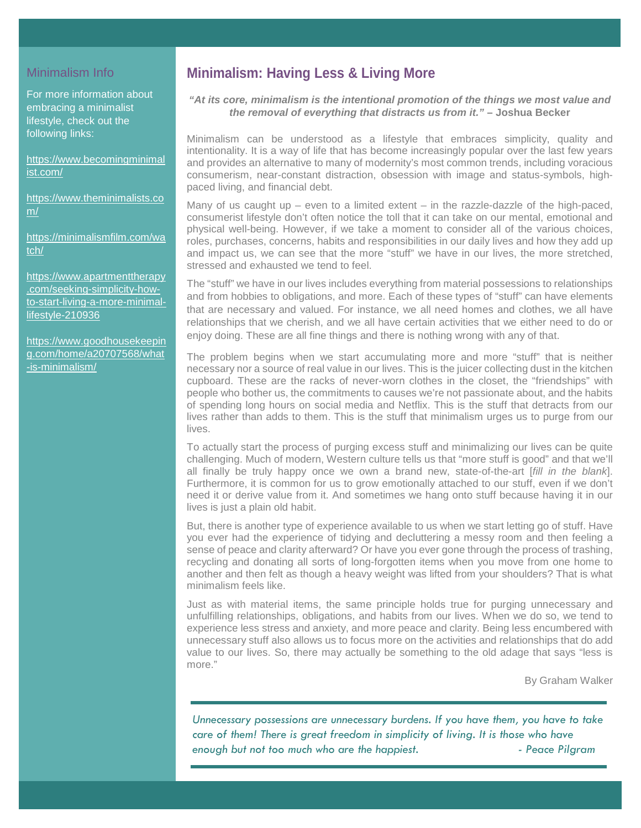## Minimalism Info

For more information about embracing a minimalist lifestyle, check out the following links:

[https://www.becomingminimal](https://www.becomingminimalist.com/) [ist.com/](https://www.becomingminimalist.com/) 

[https://www.theminimalists.co](https://www.theminimalists.com/) [m/](https://www.theminimalists.com/)

[https://minimalismfilm.com/wa](https://minimalismfilm.com/watch/) [tch/](https://minimalismfilm.com/watch/)

[https://www.apartmenttherapy](https://www.apartmenttherapy.com/seeking-simplicity-how-to-start-living-a-more-minimal-lifestyle-210936) [.com/seeking-simplicity-how](https://www.apartmenttherapy.com/seeking-simplicity-how-to-start-living-a-more-minimal-lifestyle-210936)[to-start-living-a-more-minimal](https://www.apartmenttherapy.com/seeking-simplicity-how-to-start-living-a-more-minimal-lifestyle-210936)[lifestyle-210936](https://www.apartmenttherapy.com/seeking-simplicity-how-to-start-living-a-more-minimal-lifestyle-210936)

[https://www.goodhousekeepin](https://www.goodhousekeeping.com/home/a20707568/what-is-minimalism/) [g.com/home/a20707568/what](https://www.goodhousekeeping.com/home/a20707568/what-is-minimalism/) [-is-minimalism/](https://www.goodhousekeeping.com/home/a20707568/what-is-minimalism/)

## **Minimalism: Having Less & Living More**

*"At its core, minimalism is the intentional promotion of the things we most value and the removal of everything that distracts us from it."* **– Joshua Becker**

Minimalism can be understood as a lifestyle that embraces simplicity, quality and intentionality. It is a way of life that has become increasingly popular over the last few years and provides an alternative to many of modernity's most common trends, including voracious consumerism, near-constant distraction, obsession with image and status-symbols, highpaced living, and financial debt.

Many of us caught up  $-$  even to a limited extent  $-$  in the razzle-dazzle of the high-paced, consumerist lifestyle don't often notice the toll that it can take on our mental, emotional and physical well-being. However, if we take a moment to consider all of the various choices, roles, purchases, concerns, habits and responsibilities in our daily lives and how they add up and impact us, we can see that the more "stuff" we have in our lives, the more stretched, stressed and exhausted we tend to feel.

The "stuff" we have in our lives includes everything from material possessions to relationships and from hobbies to obligations, and more. Each of these types of "stuff" can have elements that are necessary and valued. For instance, we all need homes and clothes, we all have relationships that we cherish, and we all have certain activities that we either need to do or enjoy doing. These are all fine things and there is nothing wrong with any of that.

The problem begins when we start accumulating more and more "stuff" that is neither necessary nor a source of real value in our lives. This is the juicer collecting dust in the kitchen cupboard. These are the racks of never-worn clothes in the closet, the "friendships" with people who bother us, the commitments to causes we're not passionate about, and the habits of spending long hours on social media and Netflix. This is the stuff that detracts from our lives rather than adds to them. This is the stuff that minimalism urges us to purge from our lives.

To actually start the process of purging excess stuff and minimalizing our lives can be quite challenging. Much of modern, Western culture tells us that "more stuff is good" and that we'll all finally be truly happy once we own a brand new, state-of-the-art [*fill in the blank*]. Furthermore, it is common for us to grow emotionally attached to our stuff, even if we don't need it or derive value from it. And sometimes we hang onto stuff because having it in our lives is just a plain old habit.

But, there is another type of experience available to us when we start letting go of stuff. Have you ever had the experience of tidying and decluttering a messy room and then feeling a sense of peace and clarity afterward? Or have you ever gone through the process of trashing, recycling and donating all sorts of long-forgotten items when you move from one home to another and then felt as though a heavy weight was lifted from your shoulders? That is what minimalism feels like.

Just as with material items, the same principle holds true for purging unnecessary and unfulfilling relationships, obligations, and habits from our lives. When we do so, we tend to experience less stress and anxiety, and more peace and clarity. Being less encumbered with unnecessary stuff also allows us to focus more on the activities and relationships that do add value to our lives. So, there may actually be something to the old adage that says "less is more."

By Graham Walker

*Unnecessary possessions are unnecessary burdens. If you have them, you have to take care of them! There is great freedom in simplicity of living. It is those who have enough but not too much who are the happiest. - Peace Pilgram*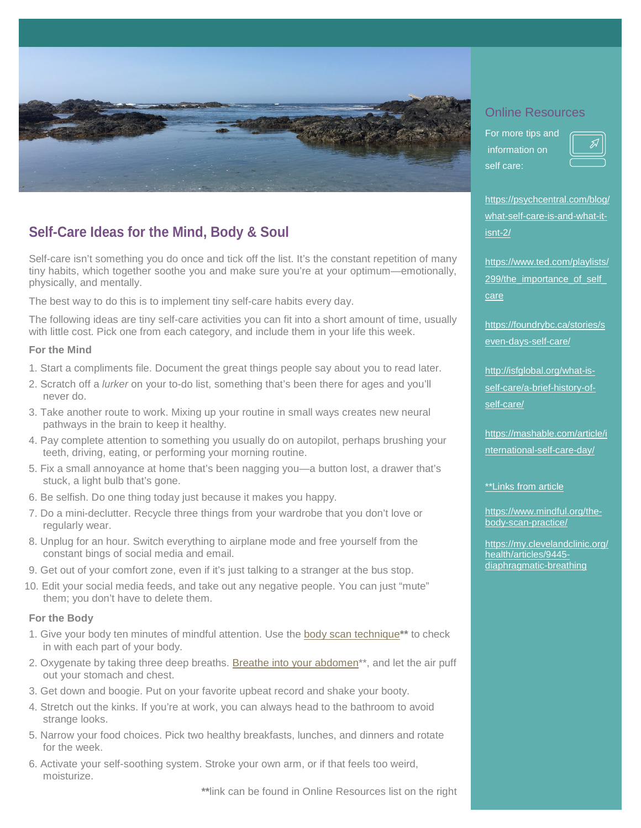

## **Self-Care Ideas for the Mind, Body & Soul**

Self-care isn't something you do once and tick off the list. It's the constant repetition of many tiny habits, which together soothe you and make sure you're at your optimum—emotionally, physically, and mentally.

The best way to do this is to implement tiny self-care habits every day.

The following ideas are tiny self-care activities you can fit into a short amount of time, usually with little cost. Pick one from each category, and include them in your life this week.

#### **For the Mind**

- 1. Start a compliments file. Document the great things people say about you to read later.
- 2. Scratch off a *lurker* on your to-do list, something that's been there for ages and you'll never do.
- 3. Take another route to work. Mixing up your routine in small ways creates new neural pathways in the brain to keep it healthy.
- 4. Pay complete attention to something you usually do on autopilot, perhaps brushing your teeth, driving, eating, or performing your morning routine.
- 5. Fix a small annoyance at home that's been nagging you—a button lost, a drawer that's stuck, a light bulb that's gone.
- 6. Be selfish. Do one thing today just because it makes you happy.
- 7. Do a mini-declutter. Recycle three things from your wardrobe that you don't love or regularly wear.
- 8. Unplug for an hour. Switch everything to airplane mode and free yourself from the constant bings of social media and email.
- 9. Get out of your comfort zone, even if it's just talking to a stranger at the bus stop.
- 10. Edit your social media feeds, and take out any negative people. You can just "mute" them; you don't have to delete them.

#### **For the Body**

- 1. Give your body ten minutes of mindful attention. Use the [body scan technique](http://www.mindful.org/mindfulness-practice/the-body-scan-practice)**\*\*** to check in with each part of your body.
- 2. Oxygenate by taking three deep breaths. [Breathe into your abdomen\\*](http://my.clevelandclinic.org/health/diseases_conditions/hic_Understanding_COPD/hic_Pulmonary_Rehabilitation_Is_it_for_You/hic_Diaphragmatic_Breathing)\*, and let the air puff out your stomach and chest.
- 3. Get down and boogie. Put on your favorite upbeat record and shake your booty.
- 4. Stretch out the kinks. If you're at work, you can always head to the bathroom to avoid strange looks.
- 5. Narrow your food choices. Pick two healthy breakfasts, lunches, and dinners and rotate for the week.
- 6. Activate your self-soothing system. Stroke your own arm, or if that feels too weird, moisturize.

**\*\***link can be found in Online Resources list on the right

## Online Resources

For more tips and information on self care:



[https://psychcentral.com/blog/](https://psychcentral.com/blog/what-self-care-is-and-what-it-isnt-2/) [what-self-care-is-and-what-it](https://psychcentral.com/blog/what-self-care-is-and-what-it-isnt-2/)[isnt-2/](https://psychcentral.com/blog/what-self-care-is-and-what-it-isnt-2/)

[https://www.ted.com/playlists/](https://www.ted.com/playlists/299/the_importance_of_self_care) 299/the\_importance\_of\_self [care](https://www.ted.com/playlists/299/the_importance_of_self_care)

[https://foundrybc.ca/stories/s](https://foundrybc.ca/stories/seven-days-self-care/) [even-days-self-care/](https://foundrybc.ca/stories/seven-days-self-care/)

[http://isfglobal.org/what-is](http://isfglobal.org/what-is-self-care/a-brief-history-of-self-care/)[self-care/a-brief-history-of](http://isfglobal.org/what-is-self-care/a-brief-history-of-self-care/)[self-care/](http://isfglobal.org/what-is-self-care/a-brief-history-of-self-care/)

[https://mashable.com/article/i](https://mashable.com/article/international-self-care-day/) [nternational-self-care-day/](https://mashable.com/article/international-self-care-day/)

#### \*\*Links from article

[https://www.mindful.org/the](https://www.mindful.org/the-body-scan-practice/)[body-scan-practice/](https://www.mindful.org/the-body-scan-practice/)

[https://my.clevelandclinic.org/](https://my.clevelandclinic.org/health/articles/9445-diaphragmatic-breathing) [health/articles/9445](https://my.clevelandclinic.org/health/articles/9445-diaphragmatic-breathing) [diaphragmatic-breathing](https://my.clevelandclinic.org/health/articles/9445-diaphragmatic-breathing)